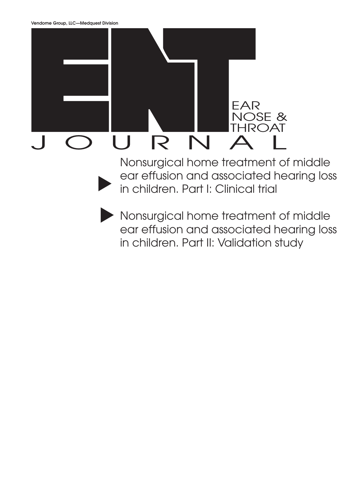

▲ Nonsurgical home treatment of middle ear effusion and associated hearing loss in children. Part I: Clinical trial

▲ Nonsurgical home treatment of middle ear effusion and associated hearing loss in children. Part II: Validation study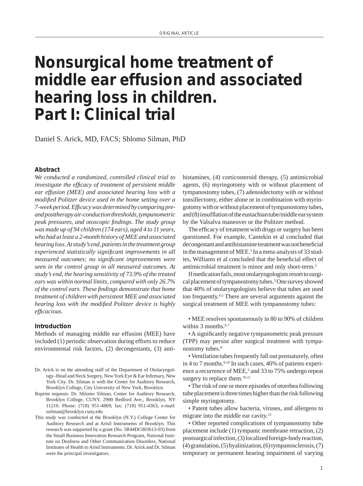# **Nonsurgical home treatment of middle ear effusion and associated hearing loss in children. Part I: Clinical trial**

Daniel S. Arick, MD, FACS; Shlomo Silman, PhD

#### **Abstract**

*We conducted a randomized, controlled clinical trial to investigate the efficacy of treatment of persistent middle ear effusion (MEE) and associated hearing loss with a modified Politzer device used in the home setting over a* 7-week period. Efficacy was determined by comparing pre*and posttherapy air-conduction thresholds, tympanometric peak pressures, and otoscopic findings. The study group was made up of 94 children (174 ears), aged 4 to 11 years, who had at least a 2-month history of MEE and associated hearing loss. At study's end, patients in the treatment group experienced statistically significant improvements in all measured outcomes; no significant improvements were seen in the control group in all measured outcomes. At study's end, the hearing sensitivity of 73.9% of the treated ears was within normal limits, compared with only 26.7% of the control ears. These fi ndings demonstrate that home treatment of children with persistent MEE and associated hearing loss with the modified Politzer device is highly*  $efficacious.$ 

#### **Introduction**

Methods of managing middle ear effusion (MEE) have included (1) periodic observation during efforts to reduce environmental risk factors, (2) decongestants, (3) anti-

- Dr. Arick is on the attending staff of the Department of Otolaryngology-Head and Neck Surgery, New York Eye & Ear Infirmary, New York City. Dr. Silman is with the Center for Auditory Research, Brooklyn College, City University of New York, Brooklyn.
- Reprint requests: Dr. Shlomo Silman, Center for Auditory Research, Brooklyn College, CUNY, 2900 Bedford Ave., Brooklyn, NY 11210. Phone: (718) 951-4869; fax: (718) 951-4363; e-mail: ssilman@brooklyn.cuny.edu
- This study was conducted at the Brooklyn (N.Y.) College Center for Auditory Research and at Arisil Instruments of Brooklyn. This research was supported by a grant (No. 5R44DC003613-03) from the Small Business Innovation Research Program, National Institute on Deafness and Other Communication Disorders, National Institutes of Health to Arisil Instruments. Dr. Arick and Dr. Silman were the principal investigators.

histamines, (4) corticosteroid therapy, (5) antimicrobial agents, (6) myringotomy with or without placement of tympanostomy tubes, (7) adenoidectomy with or without tonsillectomy, either alone or in combination with myringotomy with or without placement of tympanostomy tubes, and (8) insufflation of the eustachian tube/middle ear system by the Valsalva maneuver or the Politzer method.

The efficacy of treatment with drugs or surgery has been questioned. For example, Cantekin et al concluded that decongestant and antihistamine treatment was not beneficial in the management of MEE.<sup>1</sup> In a meta-analysis of 33 studies, Williams et al concluded that the beneficial effect of antimicrobial treatment is minor and only short-term.2

If medication fails, most otolaryngologists resort to surgical placement of tympanostomy tubes.3 One survey showed that 40% of otolaryngologists believe that tubes are used too frequently.<sup>4,5</sup> There are several arguments against the surgical treatment of MEE with tympanostomy tubes:

• MEE resolves spontaneously in 80 to 90% of children within 3 months.<sup>6,7</sup>

• A significantly negative tympanometric peak pressure (TPP) may persist after surgical treatment with tympanostomy tubes.<sup>8</sup>

• Ventilation tubes frequently fall out prematurely, often in 4 to 7 months.<sup>9,10</sup> In such cases, 40% of patients experience a recurrence of MEE,<sup>3</sup> and 33 to 75% undergo repeat surgery to replace them.<sup>10,11</sup>

• The risk of one or more episodes of otorrhea following tube placement is three times higher than the risk following simple myringotomy.

• Patent tubes allow bacteria, viruses, and allergens to migrate into the middle ear cavity. $12$ 

• Other reported complications of tympanostomy tube placement include (1) tympanic membrane retraction, (2) postsurgical infection, (3) localized foreign-body reaction, (4) granulation, (5) hyalinization, (6) tympanosclerosis, (7) temporary or permanent hearing impairment of varying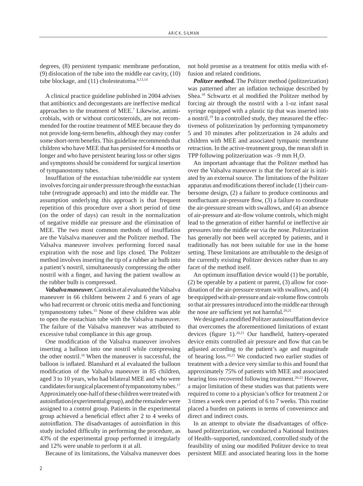degrees, (8) persistent tympanic membrane perforation, (9) dislocation of the tube into the middle ear cavity, (10) tube blockage, and (11) cholesteatoma.<sup>6,13,14</sup>

A clinical practice guideline published in 2004 advises that antibiotics and decongestants are ineffective medical approaches to the treatment of MEE.<sup>7</sup> Likewise, antimicrobials, with or without corticosteroids, are not recommended for the routine treatment of MEE because they do not provide long-term benefits, although they may confer some short-term benefits. This guideline recommends that children who have MEE that has persisted for 4 months or longer and who have persistent hearing loss or other signs and symptoms should be considered for surgical insertion of tympanostomy tubes.

Insufflation of the eustachian tube/middle ear system involves forcing air under pressure through the eustachian tube (retrograde approach) and into the middle ear. The assumption underlying this approach is that frequent repetition of this procedure over a short period of time (on the order of days) can result in the normalization of negative middle ear pressure and the elimination of MEE. The two most common methods of insufflation are the Valsalva maneuver and the Politzer method. The Valsalva maneuver involves performing forced nasal expiration with the nose and lips closed. The Politzer method involves inserting the tip of a rubber air bulb into a patient's nostril, simultaneously compressing the other nostril with a finger, and having the patient swallow as the rubber bulb is compressed.

*Valsalva maneuver.* Cantekin et al evaluated the Valsalva maneuver in 66 children between 2 and 6 years of age who had recurrent or chronic otitis media and functioning tympanostomy tubes.15 None of these children was able to open the eustachian tube with the Valsalva maneuver. The failure of the Valsalva maneuver was attributed to excessive tubal compliance in this age group.

One modification of the Valsalva maneuver involves inserting a balloon into one nostril while compressing the other nostril.16 When the maneuver is successful, the balloon is inflated. Blanshard et al evaluated the balloon modification of the Valsalva maneuver in 85 children, aged 3 to 10 years, who had bilateral MEE and who were candidates for surgical placement of tympanostomy tubes.<sup>17</sup> Approximately one-half of these children were treated with autoinflation (experimental group), and the remainder were assigned to a control group. Patients in the experimental group achieved a beneficial effect after 2 to 4 weeks of autoinflation. The disadvantages of autoinflation in this study included difficulty in performing the procedure, as 43% of the experimental group performed it irregularly and 12% were unable to perform it at all.

Because of its limitations, the Valsalva maneuver does

not hold promise as a treatment for otitis media with effusion and related conditions.

*Politzer method.* The Politzer method (politzerization) was patterned after an inflation technique described by Shea.<sup>18</sup> Schwartz et al modified the Politzer method by forcing air through the nostril with a 1-oz infant nasal syringe equipped with a plastic tip that was inserted into a nostril.19 In a controlled study, they measured the effectiveness of politzerization by performing tympanometry 5 and 10 minutes after politzerization in 24 adults and children with MEE and associated tympanic membrane retraction. In the active-treatment group, the mean shift in TPP following politzerization was  $-9$  mm  $H_2O$ .

An important advantage that the Politzer method has over the Valsalva maneuver is that the forced air is initiated by an external source. The limitations of the Politzer apparatus and modifications thereof include  $(1)$  their cumbersome design, (2) a failure to produce continuous and nonfluctuant air-pressure flow, (3) a failure to coordinate the air-pressure stream with swallows, and (4) an absence of air-pressure and air-flow volume controls, which might lead to the generation of either harmful or ineffective air pressures into the middle ear via the nose. Politzerization has generally not been well accepted by patients, and it traditionally has not been suitable for use in the home setting. These limitations are attributable to the design of the currently existing Politzer devices rather than to any facet of the method itself.

An optimum insufflation device would (1) be portable, (2) be operable by a patient or parent, (3) allow for coordination of the air-pressure stream with swallows, and (4) be equipped with air-pressure and air-volume flow controls so that air pressures introduced into the middle ear through the nose are sufficient yet not harmful.<sup>20,21</sup>

We designed a modified Politzer autoinsufflation device that overcomes the aforementioned limitations of extant devices (figure 1). $^{20,21}$  Our handheld, battery-operated device emits controlled air pressure and flow that can be adjusted according to the patient's age and magnitude of hearing loss.20,21 We conducted two earlier studies of treatment with a device very similar to this and found that approximately 75% of patients with MEE and associated hearing loss recovered following treatment.<sup>20,21</sup> However, a major limitation of these studies was that patients were required to come to a physician's office for treatment 2 or 3 times a week over a period of 6 to 7 weeks. This routine placed a burden on patients in terms of convenience and direct and indirect costs.

In an attempt to obviate the disadvantages of officebased politzerization, we conducted a National Institutes of Health–supported, randomized, controlled study of the feasibility of using our modified Politzer device to treat persistent MEE and associated hearing loss in the home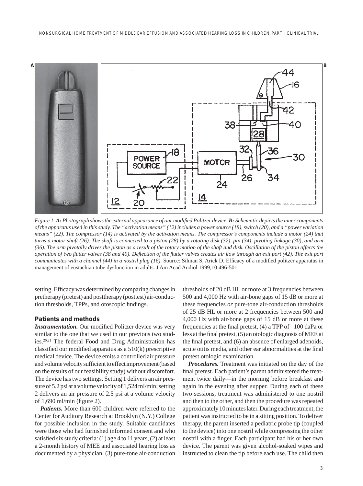

*Figure 1. A: Photograph shows the external appearance of our modified Politzer device. <i>B: Schematic depicts the inner components of the apparatus used in this study. The "activation means" (12) includes a power source (18), switch (20), and a "power variation means" (22). The compressor (14) is activated by the activation means. The compressor's components include a motor (24) that turns a motor shaft (26). The shaft is connected to a piston (28) by a rotating disk (32), pin (34), pivoting linkage (30), and arm (36). The arm pivotally drives the piston as a result of the rotary motion of the shaft and disk. Oscillation of the piston affects the operation of two flutter valves (38 and 40). Deflection of the flutter valves creates air flow through an exit port (42). The exit port communicates with a channel (44) in a nostril plug (16).* Source: Silman S, Arick D. Efficacy of a modified politzer apparatus in management of eustachian tube dysfunction in adults. J Am Acad Audiol 1999;10:496-501.

setting. Efficacy was determined by comparing changes in pretherapy (pretest) and posttherapy (posttest) air-conduction thresholds, TPPs, and otoscopic findings.

### **Patients and methods**

**Instrumentation.** Our modified Politzer device was very similar to the one that we used in our previous two studies.20,21 The federal Food and Drug Administration has classified our modified apparatus as a  $510(k)$  prescriptive medical device. The device emits a controlled air pressure and volume velocity sufficient to effect improvement (based on the results of our feasibility study) without discomfort. The device has two settings. Setting 1 delivers an air pressure of 5.2 psi at a volume velocity of 1,524 ml/min; setting 2 delivers an air pressure of 2.5 psi at a volume velocity of 1,690 ml/min (figure 2).

*Patients.* More than 600 children were referred to the Center for Auditory Research at Brooklyn (N.Y.) College for possible inclusion in the study. Suitable candidates were those who had furnished informed consent and who satisfied six study criteria:  $(1)$  age 4 to 11 years,  $(2)$  at least a 2-month history of MEE and associated hearing loss as documented by a physician, (3) pure-tone air-conduction

thresholds of 20 dB HL or more at 3 frequencies between 500 and 4,000 Hz with air-bone gaps of 15 dB or more at these frequencies *or* pure-tone air-conduction thresholds of 25 dB HL or more at 2 frequencies between 500 and 4,000 Hz with air-bone gaps of 15 dB or more at these frequencies at the final pretest,  $(4)$  a TPP of  $-100$  daPa or less at the final pretest,  $(5)$  an otologic diagnosis of MEE at the final pretest, and (6) an absence of enlarged adenoids, acute otitis media, and other ear abnormalities at the final pretest otologic examination.

*Procedures.* Treatment was initiated on the day of the final pretest. Each patient's parent administered the treatment twice daily––in the morning before breakfast and again in the evening after supper. During each of these two sessions, treatment was administered to one nostril and then to the other, and then the procedure was repeated approximately 10 minutes later. During each treatment, the patient was instructed to be in a sitting position. To deliver therapy, the parent inserted a pediatric probe tip (coupled to the device) into one nostril while compressing the other nostril with a finger. Each participant had his or her own device. The parent was given alcohol-soaked wipes and instructed to clean the tip before each use. The child then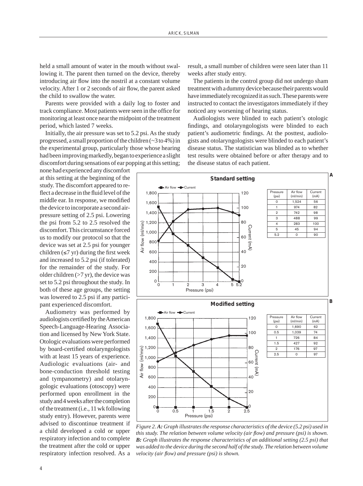held a small amount of water in the mouth without swallowing it. The parent then turned on the device, thereby introducing air flow into the nostril at a constant volume velocity. After 1 or 2 seconds of air flow, the parent asked the child to swallow the water.

Parents were provided with a daily log to foster and track compliance. Most patients were seen in the office for monitoring at least once near the midpoint of the treatment period, which lasted 7 weeks.

Initially, the air pressure was set to 5.2 psi. As the study progressed, a small proportion of the children (~3 to 4%) in the experimental group, particularly those whose hearing had been improving markedly, began to experience a slight discomfort during sensations of ear popping at this setting;

none had experienced any discomfort at this setting at the beginning of the study. The discomfort appeared to reflect a decrease in the fluid level of the middle ear. In response, we modified the device to incorporate a second airpressure setting of 2.5 psi. Lowering the psi from 5.2 to 2.5 resolved the discomfort. This circumstance forced us to modify our protocol so that the device was set at 2.5 psi for younger children  $(\leq 7$  yr) during the first week and increased to 5.2 psi (if tolerated) for the remainder of the study. For older children (>7 yr), the device was set to 5.2 psi throughout the study. In both of these age groups, the setting was lowered to 2.5 psi if any participant experienced discomfort.

Audiometry was performed by audiologists certified by the American Speech-Language-Hearing Association and licensed by New York State. Otologic evaluations were performed by board-certified otolaryngologists with at least 15 years of experience. Audiologic evaluations (air- and bone-conduction threshold testing and tympanometry) and otolaryngologic evaluations (otoscopy) were performed upon enrollment in the study and 4 weeks after the completion of the treatment (i.e., 11 wk following study entry). However, parents were advised to discontinue treatment if a child developed a cold or upper respiratory infection and to complete the treatment after the cold or upper respiratory infection resolved. As a

result, a small number of children were seen later than 11 weeks after study entry.

The patients in the control group did not undergo sham treatment with a dummy device because their parents would have immediately recognized it as such. These parents were instructed to contact the investigators immediately if they noticed any worsening of hearing status.

Audiologists were blinded to each patient's otologic findings, and otolaryngologists were blinded to each patient's audiometric findings. At the posttest, audiologists and otolaryngologists were blinded to each patient's disease status. The statistician was blinded as to whether test results were obtained before or after therapy and to the disease status of each patient.



*Figure 2. A: Graph illustrates the response characteristics of the device (5.2 psi) used in this study. The relation between volume velocity (air flow) and pressure (psi) is shown. B: Graph illustrates the response characteristics of an additional setting (2.5 psi) that was added to the device during the second half of the study. The relation between volume velocity (air flow) and pressure (psi) is shown.*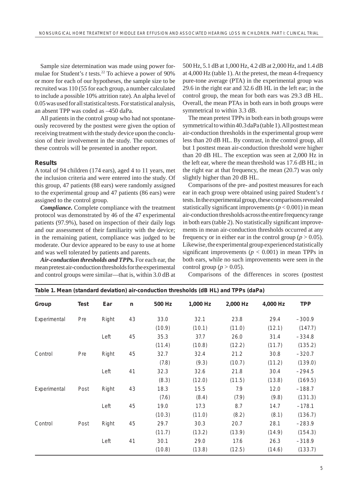Sample size determination was made using power formulae for Student's *t* tests.<sup>22</sup> To achieve a power of 90% or more for each of our hypotheses, the sample size to be recruited was 110 (55 for each group, a number calculated to include a possible 10% attrition rate). An alpha level of 0.05 was used for all statistical tests. For statistical analysis, an absent TPP was coded as –450 daPa.

All patients in the control group who had not spontaneously recovered by the posttest were given the option of receiving treatment with the study device upon the conclusion of their involvement in the study. The outcomes of these controls will be presented in another report.

# **Results**

A total of 94 children (174 ears), aged 4 to 11 years, met the inclusion criteria and were entered into the study. Of this group, 47 patients (88 ears) were randomly assigned to the experimental group and 47 patients (86 ears) were assigned to the control group.

*Compliance.* Complete compliance with the treatment protocol was demonstrated by 46 of the 47 experimental patients (97.9%), based on inspection of their daily logs and our assessment of their familiarity with the device; in the remaining patient, compliance was judged to be moderate. Our device appeared to be easy to use at home and was well tolerated by patients and parents.

*Air-conduction thresholds and TPPs.* For each ear, the mean pretest air-conduction thresholds for the experimental and control groups were similar––that is, within 3.0 dB at 500 Hz, 5.1 dB at 1,000 Hz, 4.2 dB at 2,000 Hz, and 1.4 dB at 4,000 Hz (table 1). At the pretest, the mean 4-frequency pure-tone average (PTA) in the experimental group was 29.6 in the right ear and 32.6 dB HL in the left ear; in the control group, the mean for both ears was 29.3 dB HL. Overall, the mean PTAs in both ears in both groups were symmetrical to within 3.3 dB.

The mean pretest TPPs in both ears in both groups were symmetrical to within 40.3 daPa (table 1). All posttest mean air-conduction thresholds in the experimental group were less than 20 dB HL. By contrast, in the control group, all but 1 posttest mean air-conduction threshold were higher than 20 dB HL. The exception was seen at 2,000 Hz in the left ear, where the mean threshold was 17.6 dB HL; in the right ear at that frequency, the mean (20.7) was only slightly higher than 20 dB HL.

Comparisons of the pre- and posttest measures for each ear in each group were obtained using paired Student's *t* tests. In the experimental group, these comparisons revealed statistically significant improvements  $(p < 0.001)$  in mean air-conduction thresholds across the entire frequency range in both ears (table 2). No statistically significant improvements in mean air-conduction thresholds occurred at any frequency or in either ear in the control group ( $p > 0.05$ ). Likewise, the experimental group experienced statistically significant improvements ( $p < 0.001$ ) in mean TPPs in both ears, while no such improvements were seen in the control group ( $p > 0.05$ ).

Comparisons of the differences in scores (posttest

| Table 1. Mean (standard deviation) air-conduction thresholds (dB HL) and TPPs (daPa) |      |       |              |        |          |          |          |            |  |
|--------------------------------------------------------------------------------------|------|-------|--------------|--------|----------|----------|----------|------------|--|
| Group                                                                                | Test | Ear   | $\mathsf{n}$ | 500 Hz | 1,000 Hz | 2,000 Hz | 4,000 Hz | <b>TPP</b> |  |
| Experimental                                                                         | Pre  | Right | 43           | 33.0   | 32.1     | 23.8     | 29.4     | $-300.9$   |  |
|                                                                                      |      |       |              | (10.9) | (10.1)   | (11.0)   | (12.1)   | (147.7)    |  |
|                                                                                      |      | Left  | 45           | 35.3   | 37.7     | 26.0     | 31.4     | $-334.8$   |  |
|                                                                                      |      |       |              | (11.4) | (10.8)   | (12.2)   | (11.7)   | (135.2)    |  |
| Control                                                                              | Pre  | Right | 45           | 32.7   | 32.4     | 21.2     | 30.8     | $-320.7$   |  |
|                                                                                      |      |       |              | (7.8)  | (9.3)    | (10.7)   | (11.2)   | (139.0)    |  |
|                                                                                      |      | Left  | 41           | 32.3   | 32.6     | 21.8     | 30.4     | $-294.5$   |  |
|                                                                                      |      |       |              | (8.3)  | (12.0)   | (11.5)   | (13.8)   | (169.5)    |  |
| Experimental                                                                         | Post | Right | 43           | 18.3   | 15.5     | 7.9      | 12.0     | $-188.7$   |  |
|                                                                                      |      |       |              | (7.6)  | (8.4)    | (7.9)    | (9.8)    | (131.3)    |  |
|                                                                                      |      | Left  | 45           | 19.0   | 17.3     | 8.7      | 14.7     | $-178.1$   |  |
|                                                                                      |      |       |              | (10.3) | (11.0)   | (8.2)    | (8.1)    | (136.7)    |  |
| Control                                                                              | Post | Right | 45           | 29.7   | 30.3     | 20.7     | 28.1     | $-283.9$   |  |
|                                                                                      |      |       |              | (11.7) | (13.2)   | (13.9)   | (14.9)   | (154.3)    |  |
|                                                                                      |      | Left  | 41           | 30.1   | 29.0     | 17.6     | 26.3     | $-318.9$   |  |
|                                                                                      |      |       |              | (10.8) | (13.8)   | (12.5)   | (14.6)   | (133.7)    |  |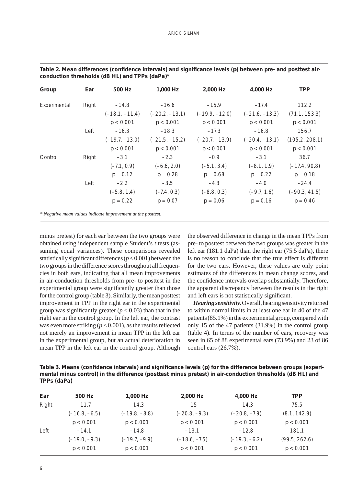| Group        | Ear   | 500 Hz           | 1.000 Hz         | 2,000 Hz         | 4,000 Hz         | <b>TPP</b>      |
|--------------|-------|------------------|------------------|------------------|------------------|-----------------|
| Experimental | Right | $-14.8$          | $-16.6$          | $-15.9$          | $-17.4$          | 112.2           |
|              |       | $(-18.1, -11.4)$ | $(-20.2, -13.1)$ | $(-19.9, -12.0)$ | $(-21.6, -13.3)$ | (71.1, 153.3)   |
|              |       | p < 0.001        | p < 0.001        | p < 0.001        | p < 0.001        | p < 0.001       |
|              | Left  | $-16.3$          | $-18.3$          | $-17.3$          | $-16.8$          | 156.7           |
|              |       | $(-19.7, -13.0)$ | $(-21.5, -15.2)$ | $(-20.7, -13.9)$ | $(-20.4, -13.1)$ | (105.2, 208.1)  |
|              |       | p < 0.001        | p < 0.001        | p < 0.001        | p < 0.001        | p < 0.001       |
| Control      | Right | $-3.1$           | $-2.3$           | $-0.9$           | $-3.1$           | 36.7            |
|              |       | $(-7.1, 0.9)$    | $(-6.6, 2.0)$    | $(-5.1, 3.4)$    | $(-8.1, 1.9)$    | $(-17.4, 90.8)$ |
|              |       | $p = 0.12$       | $p = 0.28$       | $p = 0.68$       | $p = 0.22$       | $p = 0.18$      |
|              | Left  | $-2.2$           | $-3.5$           | $-4.3$           | $-4.0$           | $-24.4$         |
|              |       | $(-5.8, 1.4)$    | $(-7.4, 0.3)$    | $(-8.8, 0.3)$    | $(-9.7, 1.6)$    | $(-90.3, 41.5)$ |
|              |       | $p = 0.22$       | $p = 0.07$       | $p = 0.06$       | $p = 0.16$       | $p = 0.46$      |

| Table 2. Mean differences (confidence intervals) and significance levels (p) between pre- and posttest air- |  |
|-------------------------------------------------------------------------------------------------------------|--|
| conduction thresholds (dB HL) and TPPs (daPa)*                                                              |  |

minus pretest) for each ear between the two groups were obtained using independent sample Student's *t* tests (assuming equal variances). These comparisons revealed statistically significant differences  $(p < 0.001)$  between the two groups in the difference scores throughout all frequencies in both ears, indicating that all mean improvements in air-conduction thresholds from pre- to posttest in the experimental group were significantly greater than those for the control group (table 3). Similarly, the mean posttest improvement in TPP in the right ear in the experimental group was significantly greater  $(p < 0.03)$  than that in the right ear in the control group. In the left ear, the contrast was even more striking  $(p < 0.001)$ , as the results reflected not merely an improvement in mean TPP in the left ear in the experimental group, but an actual deterioration in mean TPP in the left ear in the control group. Although the observed difference in change in the mean TPPs from pre- to posttest between the two groups was greater in the left ear (181.1 daPa) than the right ear (75.5 daPa), there is no reason to conclude that the true effect is different for the two ears. However, these values are only point estimates of the differences in mean change scores, and the confidence intervals overlap substantially. Therefore, the apparent discrepancy between the results in the right and left ears is not statistically significant.

*Hearing sensitivity.* Overall, hearing sensitivity returned to within normal limits in at least one ear in 40 of the 47 patients (85.1%) in the experimental group, compared with only 15 of the 47 patients (31.9%) in the control group (table 4). In terms of the number of ears, recovery was seen in 65 of 88 experimental ears (73.9%) and 23 of 86 control ears (26.7%).

Table 3. Means (confidence intervals) and significance levels (p) for the difference between groups (experi**mental minus control) in the difference (posttest minus pretest) in air-conduction thresholds (dB HL) and TPPs (daPa)** 

| Ear   | 500 Hz          | 1,000 Hz        | 2,000 Hz        | 4,000 Hz        | <b>TPP</b>    |
|-------|-----------------|-----------------|-----------------|-----------------|---------------|
| Right | $-11.7$         | $-14.3$         | $-15$           | $-14.3$         | 75.5          |
|       | $(-16.8, -6.5)$ | $(-19.8, -8.8)$ | $(-20.8, -9.3)$ | $(-20.8, -7.9)$ | (8.1, 142.9)  |
|       | p < 0.001       | p < 0.001       | p < 0.001       | p < 0.001       | p < 0.001     |
| Left  | $-14.1$         | $-14.8$         | $-13.1$         | $-12.8$         | 181.1         |
|       | $(-19.0, -9.3)$ | $(-19.7, -9.9)$ | $(-18.6, -7.5)$ | $(-19.3, -6.2)$ | (99.5, 262.6) |
|       | p < 0.001       | p < 0.001       | p < 0.001       | p < 0.001       | p < 0.001     |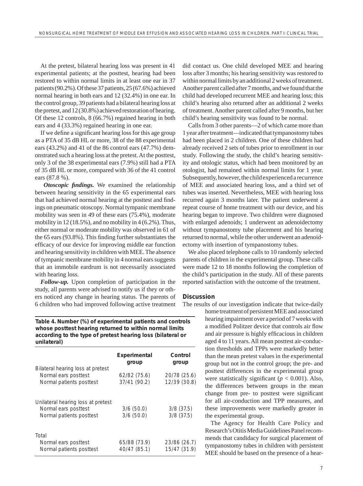At the pretest, bilateral hearing loss was present in 41 experimental patients; at the posttest, hearing had been restored to within normal limits in at least one ear in 37 patients (90.2%). Of these 37 patients, 25 (67.6%) achieved normal hearing in both ears and 12 (32.4%) in one ear. In the control group, 39 patients had a bilateral hearing loss at the pretest, and 12 (30.8%) achieved restoration of hearing. Of these 12 controls, 8 (66.7%) regained hearing in both ears and 4 (33.3%) regained hearing in one ear.

If we define a significant hearing loss for this age group as a PTA of 35 dB HL or more, 38 of the 88 experimental ears (43.2%) and 41 of the 86 control ears (47.7%) demonstrated such a hearing loss at the pretest. At the posttest, only 3 of the 38 experimental ears (7.9%) still had a PTA of 35 dB HL or more, compared with 36 of the 41 control ears (87.8 %).

**Otoscopic findings.** We examined the relationship between hearing sensitivity in the 65 experimental ears that had achieved normal hearing at the posttest and findings on pneumatic otoscopy. Normal tympanic membrane mobility was seen in 49 of these ears (75.4%), moderate mobility in 12 (18.5%), and no mobility in 4 (6.2%). Thus, either normal or moderate mobility was observed in 61 of the  $65$  ears  $(93.8\%)$ . This finding further substantiates the efficacy of our device for improving middle ear function and hearing sensitivity in children with MEE. The absence of tympanic membrane mobility in 4 normal ears suggests that an immobile eardrum is not necessarily associated with hearing loss.

*Follow-up.* Upon completion of participation in the study, all parents were advised to notify us if they or others noticed any change in hearing status. The parents of 6 children who had improved following active treatment

**Table 4. Number (%) of experimental patients and controls whose posttest hearing returned to within normal limits according to the type of pretest hearing loss (bilateral or unilateral)** 

|                                                                                        | Experimental<br>group        | Control<br>group             |
|----------------------------------------------------------------------------------------|------------------------------|------------------------------|
| Bilateral hearing loss at pretest<br>Normal ears posttest<br>Normal patients posttest  | 62/82(75.6)<br>37/41 (90.2)  | 20/78 (25.6)<br>12/39 (30.8) |
| Unilateral hearing loss at pretest<br>Normal ears posttest<br>Normal patients posttest | 3/6(50.0)<br>3/6(50.0)       | $3/8$ (37.5)<br>$3/8$ (37.5) |
| Total<br>Normal ears posttest<br>Normal patients posttest                              | 65/88 (73.9)<br>40/47 (85.1) | 23/86 (26.7)<br>15/47 (31.9) |

did contact us. One child developed MEE and hearing loss after 3 months; his hearing sensitivity was restored to within normal limits by an additional 2 weeks of treatment. Another parent called after 7 months, and we found that the child had developed recurrent MEE and hearing loss; this child's hearing also returned after an additional 2 weeks of treatment. Another parent called after 9 months, but her child's hearing sensitivity was found to be normal.

Calls from 3 other parents––2 of which came more than 1 year after treatment––indicated that tympanostomy tubes had been placed in 2 children. One of these children had already received 2 sets of tubes prior to enrollment in our study. Following the study, the child's hearing sensitivity and otologic status, which had been monitored by an otologist, had remained within normal limits for 1 year. Subsequently, however, the child experienced a recurrence of MEE and associated hearing loss, and a third set of tubes was inserted. Nevertheless, MEE with hearing loss recurred again 3 months later. The patient underwent a repeat course of home treatment with our device, and his hearing began to improve. Two children were diagnosed with enlarged adenoids; 1 underwent an adenoidectomy without tympanostomy tube placement and his hearing returned to normal, while the other underwent an adenoidectomy with insertion of tympanostomy tubes.

We also placed telephone calls to 10 randomly selected parents of children in the experimental group. These calls were made 12 to 18 months following the completion of the child's participation in the study. All of these parents reported satisfaction with the outcome of the treatment.

# **Discussion**

The results of our investigation indicate that twice-daily

home treatment of persistent MEE and associated hearing impairment over a period of 7 weeks with a modified Politzer device that controls air flow and air pressure is highly efficacious in children aged 4 to 11 years. All mean posttest air-conduction thresholds and TPPs were markedly better than the mean pretest values in the experimental group but not in the control group; the pre- and posttest differences in the experimental group were statistically significant  $(p < 0.001)$ . Also, the differences between groups in the mean change from pre- to posttest were significant for all air-conduction and TPP measures, and these improvements were markedly greater in the experimental group.

The Agency for Health Care Policy and Research's Otitis Media Guidelines Panel recommends that candidacy for surgical placement of tympanostomy tubes in children with persistent MEE should be based on the presence of a hear-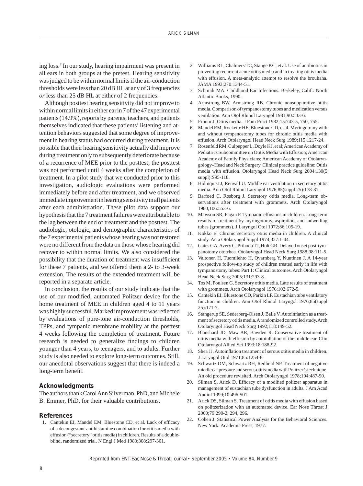ing loss.7 In our study, hearing impairment was present in all ears in both groups at the pretest. Hearing sensitivity was judged to be within normal limits if the air-conduction thresholds were less than 20 dB HL at any of 3 frequencies *or* less than 25 dB HL at either of 2 frequencies.

Although posttest hearing sensitivity did not improve to within normal limits in either ear in 7 of the 47 experimental patients (14.9%), reports by parents, teachers, and patients themselves indicated that these patients' listening and attention behaviors suggested that some degree of improvement in hearing status had occurred during treatment. It is possible that their hearing sensitivity actually did improve during treatment only to subsequently deteriorate because of a recurrence of MEE prior to the posttest; the posttest was not performed until 4 weeks after the completion of treatment. In a pilot study that we conducted prior to this investigation, audiologic evaluations were performed immediately before and after treatment, and we observed immediate improvement in hearing sensitivity in all patients after each administration. These pilot data support our hypothesis that the 7 treatment failures were attributable to the lag between the end of treatment and the posttest. The audiologic, otologic, and demographic characteristics of the 7 experimental patients whose hearing was not restored were no different from the data on those whose hearing did recover to within normal limits. We also considered the possibility that the duration of treatment was insufficient for these 7 patients, and we offered them a 2- to 3-week extension. The results of the extended treatment will be reported in a separate article.

In conclusion, the results of our study indicate that the use of our modified, automated Politzer device for the home treatment of MEE in children aged 4 to 11 years was highly successful. Marked improvement was reflected by evaluations of pure-tone air-conduction thresholds, TPPs, and tympanic membrane mobility at the posttest 4 weeks following the completion of treatment. Future research is needed to generalize findings to children younger than 4 years, to teenagers, and to adults. Further study is also needed to explore long-term outcomes. Still, our anecdotal observations suggest that there is indeed a long-term benefit.

## **Acknowledgments**

The authors thank Carol Ann Silverman, PhD, and Michele B. Emmer, PhD, for their valuable contributions.

#### **References**

1. Cantekin EI, Mandel EM, Bluestone CD, et al. Lack of efficacy of a decongestant-antihistamine combination for otitis media with effusion ("secretory" otitis media) in children. Results of a doubleblind, randomized trial. N Engl J Med 1983;308:297-301.

- 2. Williams RL, Chalmers TC, Stange KC, et al. Use of antibiotics in preventing recurrent acute otitis media and in treating otitis media with effusion. A meta-analytic attempt to resolve the brouhaha. JAMA 1993;270:1344-51.
- 3. Schmidt MA. Childhood Ear Infections. Berkeley, Calif.: North Atlantic Books, 1990.
- 4. Armstrong BW, Armstrong RB. Chronic nonsuppurative otitis media. Comparison of tympanostomy tubes and medication versus ventilation. Ann Otol Rhinol Laryngol 1981;90:533-6.
- 5. Froom J. Otitis media. J Fam Pract 1982;15:743-5, 750, 755.
- 6. Mandel EM, Rockette HE, Bluestone CD, et al. Myringotomy with and without tympanostomy tubes for chronic otitis media with effusion. Arch Otolaryngol Head Neck Surg 1989;115:1217-24.
- 7. Rosenfeld RM, Culpepper L, Doyle KJ, et al; American Academy of Pediatrics Subcommittee on Otitis Media with Effusion; American Academy of Family Physicians; American Academy of Otolaryngology–Head and Neck Surgery. Clinical practice guideline: Otitis media with effusion. Otolaryngol Head Neck Surg 2004;130(5 suppl):S95-118.
- 8. Holmquist J, Renvall U. Middle ear ventilation in secretory otitis media. Ann Otol Rhinol Laryngol 1976;85(suppl 25):178-81.
- Barfoed C, Rosborg J. Secretory otitis media. Long-term observations after treatment with grommets. Arch Otolaryngol 1980;106:553-6.
- 10. Mawson SR, Fagan P. Tympanic effusions in children. Long-term results of treatment by myringotomy, aspiration, and indwelling tubes (grommets). J Laryngol Otol 1972;86:105-19.
- 11. Kokko E. Chronic secretory otitis media in children. A clinical study. Acta Otolaryngol Suppl 1974;327:1-44.
- 12. Gates GA, Avery C, Prihoda TJ, Holt GR. Delayed onset post-tympanotomy otorrhea. Otolaryngol Head Neck Surg 1988;98:111-5.
- 13. Valtonen H, Tuomilehto H, Qvarnberg Y, Nuutinen J. A 14-year prospective follow-up study of children treated early in life with tympanostomy tubes: Part 1: Clinical outcomes. Arch Otolaryngol Head Neck Surg 2005;131:293-8.
- 14. Tos M, Poulsen G. Secretory otitis media. Late results of treatment with grommets. Arch Otolaryngol 1976;102:672-5.
- 15. Cantekin EI, Bluestone CD, Parkin LP. Eustachian tube ventilatory function in children. Ann Otol Rhinol Laryngol 1976;85(suppl 25):171-7.
- 16. Stangerup SE, Sederberg-Olsen J, Balle V. Autoinflation as a treatment of secretory otitis media. A randomized controlled study. Arch Otolaryngol Head Neck Surg 1992;118:149-52.
- 17. Blanshard JD, Maw AR, Bawden R. Conservative treatment of otitis media with effusion by autoinflation of the middle ear. Clin Otolaryngol Allied Sci 1993;18:188-92.
- 18. Shea JJ. Autoinflation treatment of serous otitis media in children. J Laryngol Otol 1971;85:1254-8.
- 19. Schwartz DM, Schwartz RH, Redfield NP. Treatment of negative middle ear pressure and serous otitis media with Politzer's technique. An old procedure revisited. Arch Otolaryngol 1978;104:487-90.
- 20. Silman S, Arick D. Efficacy of a modified politzer apparatus in management of eustachian tube dysfunction in adults. J Am Acad Audiol 1999;10:496-501.
- 21. Arick DS, Silman S. Treatment of otitis media with effusion based on politzerization with an automated device. Ear Nose Throat J 2000;79:290-2, 294, 296.
- 22. Cohen J. Statistical Power Analysis for the Behavioral Sciences. New York: Academic Press, 1977.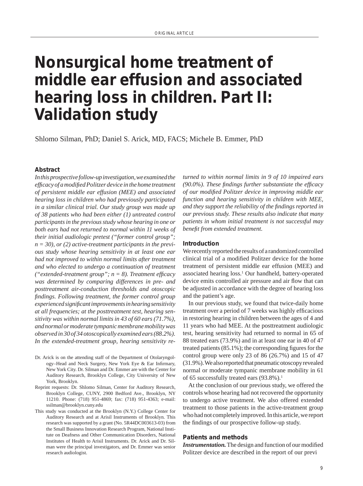# **Nonsurgical home treatment of middle ear effusion and associated hearing loss in children. Part II: Validation study**

Shlomo Silman, PhD; Daniel S. Arick, MD, FACS; Michele B. Emmer, PhD

### **Abstract**

*In this prospective follow-up investigation, we examined the effi cacy of a modifi ed Politzer device in the home treatment of persistent middle ear effusion (MEE) and associated hearing loss in children who had previously participated in a similar clinical trial. Our study group was made up of 38 patients who had been either (1) untreated control participants in the previous study whose hearing in one or both ears had not returned to normal within 11 weeks of their initial audiologic pretest ("former control group"; n = 30), or (2) active-treatment participants in the previous study whose hearing sensitivity in at least one ear had not improved to within normal limits after treatment and who elected to undergo a continuation of treatment ("extended-treatment group";*  $n = 8$ *). Treatment efficacy was determined by comparing differences in pre- and posttreatment air-conduction thresholds and otoscopic fi ndings. Following treatment, the former control group experienced signifi cant improvements in hearing sensitivity at all frequencies; at the posttreatment test, hearing sensitivity was within normal limits in 43 of 60 ears (71.7%), and normal or moderate tympanic membrane mobility was observed in 30 of 34 otoscopically examined ears (88.2%). In the extended-treatment group, hearing sensitivity re-*

- Dr. Arick is on the attending staff of the Department of Otolaryngology-Head and Neck Surgery, New York Eye & Ear Infirmary, New York City. Dr. Silman and Dr. Emmer are with the Center for Auditory Research, Brooklyn College, City University of New York, Brooklyn.
- Reprint requests: Dr. Shlomo Silman, Center for Auditory Research, Brooklyn College, CUNY, 2900 Bedford Ave., Brooklyn, NY 11210. Phone: (718) 951-4869; fax: (718) 951-4363; e-mail: ssilman@brooklyn.cuny.edu
- This study was conducted at the Brooklyn (N.Y.) College Center for Auditory Research and at Arisil Instruments of Brooklyn. This research was supported by a grant (No. 5R44DC003613-03) from the Small Business Innovation Research Program, National Institute on Deafness and Other Communication Disorders, National Institutes of Health to Arisil Instruments. Dr. Arick and Dr. Silman were the principal investigators, and Dr. Emmer was senior research audiologist.

*turned to within normal limits in 9 of 10 impaired ears (90.0%). These fi ndings further substantiate the effi cacy of our modifi ed Politzer device in improving middle ear function and hearing sensitivity in children with MEE, and they support the reliability of the findings reported in our previous study. These results also indicate that many patients in whom initial treatment is not successful may benefi t from extended treatment.* 

#### **Introduction**

We recently reported the results of a randomized controlled clinical trial of a modified Politzer device for the home treatment of persistent middle ear effusion (MEE) and associated hearing loss.1 Our handheld, battery-operated device emits controlled air pressure and air flow that can be adjusted in accordance with the degree of hearing loss and the patient's age.

In our previous study, we found that twice-daily home treatment over a period of 7 weeks was highly efficacious in restoring hearing in children between the ages of 4 and 11 years who had MEE. At the posttreatment audiologic test, hearing sensitivity had returned to normal in 65 of 88 treated ears (73.9%) and in at least one ear in 40 of 47 treated patients  $(85.1\%)$ ; the corresponding figures for the control group were only 23 of 86 (26.7%) and 15 of 47 (31.9%). We also reported that pneumatic otoscopy revealed normal or moderate tympanic membrane mobility in 61 of 65 successfully treated ears (93.8%).<sup>1</sup>

At the conclusion of our previous study, we offered the controls whose hearing had not recovered the opportunity to undergo active treatment. We also offered extended treatment to those patients in the active-treatment group who had not completely improved. In this article, we report the findings of our prospective follow-up study.

## **Patients and methods**

**Instrumentation.** The design and function of our modified Politzer device are described in the report of our previ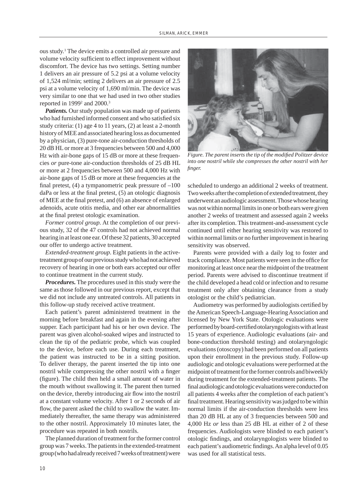ous study.1 The device emits a controlled air pressure and volume velocity sufficient to effect improvement without discomfort. The device has two settings. Setting number 1 delivers an air pressure of 5.2 psi at a volume velocity of 1,524 ml/min; setting 2 delivers an air pressure of 2.5 psi at a volume velocity of 1,690 ml/min. The device was very similar to one that we had used in two other studies reported in  $1999<sup>2</sup>$  and  $2000.<sup>3</sup>$ 

*Patients.* Our study population was made up of patients who had furnished informed consent and who satisfied six study criteria: (1) age 4 to 11 years, (2) at least a 2-month history of MEE and associated hearing loss as documented by a physician, (3) pure-tone air-conduction thresholds of 20 dB HL or more at 3 frequencies between 500 and 4,000 Hz with air-bone gaps of 15 dB or more at these frequencies *or* pure-tone air-conduction thresholds of 25 dB HL or more at 2 frequencies between 500 and 4,000 Hz with air-bone gaps of 15 dB or more at these frequencies at the final pretest,  $(4)$  a tympanometric peak pressure of  $-100$  $daPa$  or less at the final pretest,  $(5)$  an otologic diagnosis of MEE at the final pretest, and  $(6)$  an absence of enlarged adenoids, acute otitis media, and other ear abnormalities at the final pretest otologic examination.

*Former control group.* At the completion of our previous study, 32 of the 47 controls had not achieved normal hearing in at least one ear. Of these 32 patients, 30 accepted our offer to undergo active treatment.

*Extended-treatment group*. Eight patients in the activetreatment group of our previous study who had not achieved recovery of hearing in one or both ears accepted our offer to continue treatment in the current study.

*Procedures.* The procedures used in this study were the same as those followed in our previous report, except that we did not include any untreated controls. All patients in this follow-up study received active treatment.

Each patient's parent administered treatment in the morning before breakfast and again in the evening after supper. Each participant had his or her own device. The parent was given alcohol-soaked wipes and instructed to clean the tip of the pediatric probe, which was coupled to the device, before each use. During each treatment, the patient was instructed to be in a sitting position. To deliver therapy, the parent inserted the tip into one nostril while compressing the other nostril with a finger (figure). The child then held a small amount of water in the mouth without swallowing it. The parent then turned on the device, thereby introducing air flow into the nostril at a constant volume velocity. After 1 or 2 seconds of air flow, the parent asked the child to swallow the water. Immediately thereafter, the same therapy was administered to the other nostril. Approximately 10 minutes later, the procedure was repeated in both nostrils.

The planned duration of treatment for the former control group was 7 weeks. The patients in the extended-treatment group (who had already received 7 weeks of treatment) were



*Figure. The parent inserts the tip of the modified Politzer device into one nostril while she compresses the other nostril with her fi nger.* 

scheduled to undergo an additional 2 weeks of treatment. Two weeks after the completion of extended treatment, they underwent an audiologic assessment. Those whose hearing was not within normal limits in one or both ears were given another 2 weeks of treatment and assessed again 2 weeks after its completion. This treatment-and-assessment cycle continued until either hearing sensitivity was restored to within normal limits or no further improvement in hearing sensitivity was observed.

Parents were provided with a daily log to foster and track compliance. Most patients were seen in the office for monitoring at least once near the midpoint of the treatment period. Parents were advised to discontinue treatment if the child developed a head cold or infection and to resume treatment only after obtaining clearance from a study otologist or the child's pediatrician.

Audiometry was performed by audiologists certified by the American Speech-Language-Hearing Association and licensed by New York State. Otologic evaluations were performed by board-certified otolaryngologists with at least 15 years of experience. Audiologic evaluations (air- and bone-conduction threshold testing) and otolaryngologic evaluations (otoscopy) had been performed on all patients upon their enrollment in the previous study. Follow-up audiologic and otologic evaluations were performed at the midpoint of treatment for the former controls and biweekly during treatment for the extended-treatment patients. The final audiologic and otologic evaluations were conducted on all patients 4 weeks after the completion of each patient's final treatment. Hearing sensitivity was judged to be within normal limits if the air-conduction thresholds were less than 20 dB HL at any of 3 frequencies between 500 and 4,000 Hz *or* less than 25 dB HL at either of 2 of these frequencies. Audiologists were blinded to each patient's otologic findings, and otolaryngologists were blinded to each patient's audiometric findings. An alpha level of 0.05 was used for all statistical tests.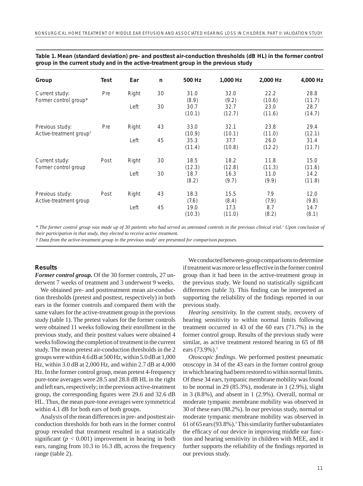| Group                                                  | Test | Ear   | n  | 500 Hz         | 1,000 Hz       | 2,000 Hz       | 4,000 Hz       |
|--------------------------------------------------------|------|-------|----|----------------|----------------|----------------|----------------|
| Current study:<br>Former control group*                | Pre  | Right | 30 | 31.0<br>(8.9)  | 32.0<br>(9.2)  | 22.2<br>(10.6) | 28.8<br>(11.7) |
|                                                        |      | Left  | 30 | 30.7<br>(10.1) | 32.7<br>(12.7) | 23.0<br>(11.6) | 28.7<br>(14.7) |
| Previous study:<br>Active-treatment group <sup>t</sup> | Pre  | Right | 43 | 33.0<br>(10.9) | 32.1<br>(10.1) | 23.8<br>(11.0) | 29.4<br>(12.1) |
|                                                        |      | Left  | 45 | 35.3<br>(11.4) | 37.7<br>(10.8) | 26.0<br>(12.2) | 31.4<br>(11.7) |
| Current study:<br>Former control group                 | Post | Right | 30 | 18.5<br>(12.3) | 18.2<br>(12.8) | 11.8<br>(11.3) | 15.0<br>(11.6) |
|                                                        |      | Left  | 30 | 18.7<br>(8.2)  | 16.3<br>(9.7)  | 11.0<br>(9.9)  | 14.2<br>(11.8) |
| Previous study:<br>Active-treatment group              | Post | Right | 43 | 18.3<br>(7.6)  | 15.5<br>(8.4)  | 7.9<br>(7.9)   | 12.0<br>(9.8)  |
|                                                        |      | Left  | 45 | 19.0<br>(10.3) | 17.3<br>(11.0) | 8.7<br>(8.2)   | 14.7<br>(8.1)  |

| Table 1. Mean (standard deviation) pre- and posttest air-conduction thresholds (dB HL) in the former control |  |
|--------------------------------------------------------------------------------------------------------------|--|
| group in the current study and in the active-treatment group in the previous study                           |  |

 $*$  The former control group was made up of 30 patients who had served as untreated controls in the previous clinical trial.<sup>1</sup> Upon conclusion of *their participation in that study, they elected to receive active treatment.* 

*† Data from the active-treatment group in the previous study<sup>1</sup> are presented for comparison purposes.* 

# **Results**

*Former control group.* Of the 30 former controls, 27 underwent 7 weeks of treatment and 3 underwent 9 weeks.

We obtained pre- and posttreatment mean air-conduction thresholds (pretest and posttest, respectively) in both ears in the former controls and compared them with the same values for the active-treatment group in the previous study (table 1). The pretest values for the former controls were obtained 11 weeks following their enrollment in the previous study, and their posttest values were obtained 4 weeks following the completion of treatment in the current study. The mean pretest air-conduction thresholds in the 2 groups were within 4.6 dB at 500 Hz, within 5.0 dB at 1,000 Hz, within 3.0 dB at 2,000 Hz, and within 2.7 dB at 4,000 Hz. In the former control group, mean pretest 4-frequency pure-tone averages were 28.5 and 28.8 dB HL in the right and left ears, respectively; in the previous active-treatment group, the corresponding figures were 29.6 and 32.6 dB HL. Thus, the mean pure-tone averages were symmetrical within 4.1 dB for both ears of both groups.

Analysis of the mean differences in pre- and posttest airconduction thresholds for both ears in the former control group revealed that treatment resulted in a statistically significant ( $p < 0.001$ ) improvement in hearing in both ears, ranging from 10.3 to 16.3 dB, across the frequency range (table 2).

We conducted between-group comparisons to determine if treatment was more or less effective in the former control group than it had been in the active-treatment group in the previous study. We found no statistically significant differences (table 3). This finding can be interpreted as supporting the reliability of the findings reported in our previous study.

*Hearing sensitivity.* In the current study, recovery of hearing sensitivity to within normal limits following treatment occurred in 43 of the 60 ears (71.7%) in the former control group. Results of the previous study were similar, as active treatment restored hearing in 65 of 88 ears (73.9%).<sup>1</sup>

*Otoscopic findings*. We performed posttest pneumatic otoscopy in 34 of the 43 ears in the former control group in which hearing had been restored to within normal limits. Of these 34 ears, tympanic membrane mobility was found to be normal in  $29(85.3\%)$ , moderate in 1 $(2.9\%)$ , slight in 3 (8.8%), and absent in 1 (2.9%). Overall, normal or moderate tympanic membrane mobility was observed in 30 of these ears (88.2%). In our previous study, normal or moderate tympanic membrane mobility was observed in  $61$  of  $65$  ears (93.8%).<sup>1</sup> This similarity further substantiates the efficacy of our device in improving middle ear function and hearing sensitivity in children with MEE, and it further supports the reliability of the findings reported in our previous study.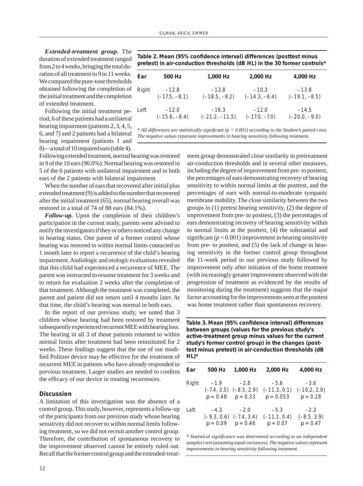*Extended-treatment group.* The duration of extended treatment ranged from 2 to 4 weeks, bringing the total duration of all treatment to 9 to 11 weeks. We compared the pure-tone thresholds obtained following the completion of the initial treatment and the completion of extended treatment.

Following the initial treatment period, 6 of these patients had a unilateral hearing impairment (patients 2, 3, 4, 5, 6, and 7) and 2 patients had a bilateral hearing impairment (patients 1 and 8)––a total of 10 impaired ears (table 4).

Following extended treatment, normal hearing was restored in 9 of the 10 ears (90.0%). Normal hearing was restored in 5 of the 6 patients with unilateral impairment and in both ears of the 2 patients with bilateral impairment.

When the number of ears that recovered after initial plus extended treatment (9) is added to the number that recovered after the initial treatment (65), normal hearing overall was restored in a total of 74 of 88 ears (84.1%).

*Follow-up.* Upon the completion of their children's participation in the current study, parents were advised to notify the investigators if they or others noticed any change in hearing status. One parent of a former control whose hearing was restored to within normal limits contacted us 1 month later to report a recurrence of the child's hearing impairment. Audiologic and otologic evaluations revealed that this child had experienced a recurrence of MEE. The parent was instructed to resume treatment for 3 weeks and to return for evaluation 2 weeks after the completion of that treatment. Although the treatment was completed, the parent and patient did not return until 4 months later. At that time, the child's hearing was normal in both ears.

In the report of our previous study, we noted that 3 children whose hearing had been restored by treatment subsequently experienced recurrent MEE with hearing loss. The hearing in all 3 of those patients returned to within normal limits after treatment had been reinstituted for 2 weeks. These findings suggest that the use of our modified Politzer device may be effective for the treatment of recurrent MEE in patients who have already responded to previous treatment. Larger studies are needed to confirm the efficacy of our device in treating recurrences.

#### **Discussion**

A limitation of this investigation was the absence of a control group. This study, however, represents a follow-up of the participants from our previous study whose hearing sensitivity did not recover to within normal limits following treatment, so we did not recruit another control group. Therefore, the contribution of spontaneous recovery to the improvement observed cannot be entirely ruled out. Recall that the former control group and the extended-treat-

Table 2. Mean (95% confidence interval) differences (posttest minus **pretest) in air-conduction thresholds (dB HL) in the 30 former controls\*** 

| Ear   | 500 Hz          | 1,000 Hz         | 2,000 Hz        | 4,000 Hz        |
|-------|-----------------|------------------|-----------------|-----------------|
| Right | $-12.8$         | $-13.8$          | $-10.3$         | $-13.8$         |
|       | $(-17.5, -8.1)$ | $(-18.5, -9.2)$  | $(-14.3, -6.4)$ | $(-19.1, -8.5)$ |
| Left  | $-12.0$         | $-16.3$          | $-12.0$         | $-14.5$         |
|       | $(-15.6, -8.4)$ | $(-21.2, -11.5)$ | $(-17.0, -7.0)$ | $(-20.0, -9.0)$ |

*\* All differences are statistically signifi cant (*p *< 0.001) according to the Student's paired* t *test. The negative values represent improvements in hearing sensitivity following treatment.* 

> ment group demonstrated close similarity in pretreatment air-conduction thresholds and in several other measures, including the degree of improvement from pre- to posttest, the percentages of ears demonstrating recovery of hearing sensitivity to within normal limits at the posttest, and the percentages of ears with normal-to-moderate tympanic membrane mobility. The close similarity between the two groups in (1) pretest hearing sensitivity, (2) the degree of improvement from pre- to posttest, (3) the percentages of ears demonstrating recovery of hearing sensitivity within to normal limits at the posttest, (4) the substantial and significant  $(p < 0.001)$  improvement in hearing sensitivity from pre- to posttest, and (5) the lack of change in hearing sensitivity in the former control group throughout the 11-week period in our previous study followed by improvement only after initiation of the home treatment (with increasingly greater improvement observed with the progression of treatment as evidenced by the results of monitoring during the treatment) suggests that the major factor accounting for the improvements seen at the posttest was home treatment rather than spontaneous recovery.

Table 3. Mean (95% confidence interval) differences **between groups (values for the previous study's active-treatment group minus values for the current study's former control group) in the changes (posttest minus pretest) in air-conduction thresholds (dB HL)\*** 

| Ear   | 500 Hz                                                         | 1.000 Hz                        | 2,000 Hz                                                                           | 4,000 Hz                              |
|-------|----------------------------------------------------------------|---------------------------------|------------------------------------------------------------------------------------|---------------------------------------|
| Right | $-1.9$                                                         | $-2.8$<br>$p = 0.48$ $p = 0.33$ | $-5.6$<br>$(-7.4, 3.5)$ $(-8.5, 2.9)$ $(-11.3, 0.1)$ $(-10.2, 2.9)$<br>$p = 0.053$ | $-3.6$<br>$p = 0.28$                  |
| Left  | $-4.3$<br>$(-9.3, 0.6)$ $(-7.4, 3.4)$<br>$p = 0.09$ $p = 0.46$ | $-2.0$                          | $-5.3$<br>$(-11.1, 0.4)$<br>$p = 0.07$                                             | $-2.3$<br>$(-8.5, 3.9)$<br>$p = 0.47$ |

*\* Statistical signifi cance was determined according to an independent samples* t *test (assuming equal variances). The negative values represent improvements in hearing sensitivity following treatment.*